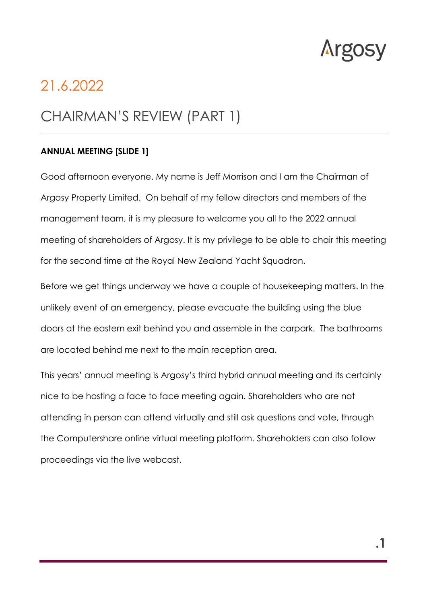

# 21.6.2022

# CHAIRMAN'S REVIEW (PART 1)

#### **ANNUAL MEETING [SLIDE 1]**

Good afternoon everyone. My name is Jeff Morrison and I am the Chairman of Argosy Property Limited. On behalf of my fellow directors and members of the management team, it is my pleasure to welcome you all to the 2022 annual meeting of shareholders of Argosy. It is my privilege to be able to chair this meeting for the second time at the Royal New Zealand Yacht Squadron.

Before we get things underway we have a couple of housekeeping matters. In the unlikely event of an emergency, please evacuate the building using the blue doors at the eastern exit behind you and assemble in the carpark. The bathrooms are located behind me next to the main reception area.

This years' annual meeting is Argosy's third hybrid annual meeting and its certainly nice to be hosting a face to face meeting again. Shareholders who are not attending in person can attend virtually and still ask questions and vote, through the Computershare online virtual meeting platform. Shareholders can also follow proceedings via the live webcast.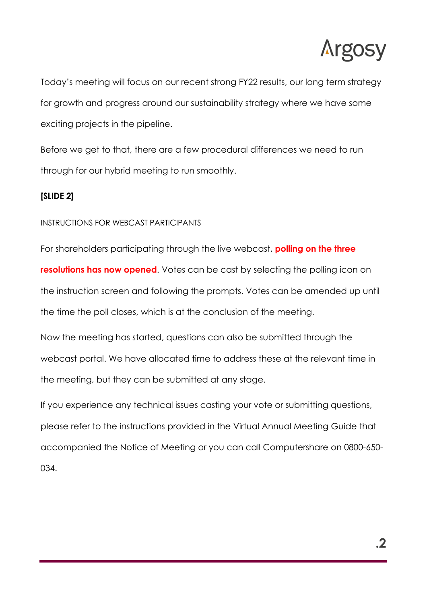

Today's meeting will focus on our recent strong FY22 results, our long term strategy for growth and progress around our sustainability strategy where we have some exciting projects in the pipeline.

Before we get to that, there are a few procedural differences we need to run through for our hybrid meeting to run smoothly.

## **[SLIDE 2]**

#### INSTRUCTIONS FOR WEBCAST PARTICIPANTS

For shareholders participating through the live webcast, **polling on the three resolutions has now opened.** Votes can be cast by selecting the polling icon on the instruction screen and following the prompts. Votes can be amended up until the time the poll closes, which is at the conclusion of the meeting.

Now the meeting has started, questions can also be submitted through the webcast portal. We have allocated time to address these at the relevant time in the meeting, but they can be submitted at any stage.

If you experience any technical issues casting your vote or submitting questions, please refer to the instructions provided in the Virtual Annual Meeting Guide that accompanied the Notice of Meeting or you can call Computershare on 0800-650- 034.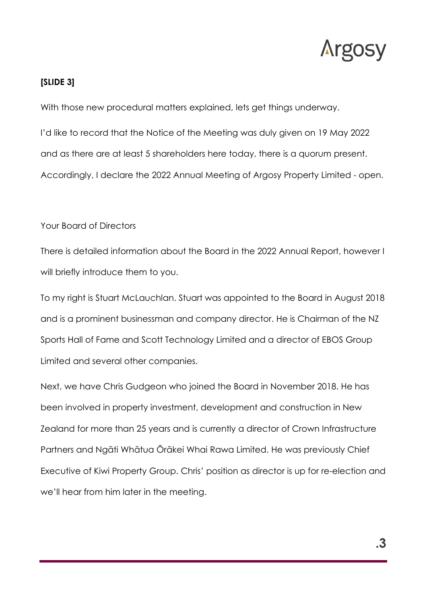

#### **[SLIDE 3]**

With those new procedural matters explained, lets get things underway.

I'd like to record that the Notice of the Meeting was duly given on 19 May 2022 and as there are at least 5 shareholders here today, there is a quorum present. Accordingly, I declare the 2022 Annual Meeting of Argosy Property Limited - open.

#### Your Board of Directors

There is detailed information about the Board in the 2022 Annual Report, however I will briefly introduce them to you.

To my right is Stuart McLauchlan. Stuart was appointed to the Board in August 2018 and is a prominent businessman and company director. He is Chairman of the NZ Sports Hall of Fame and Scott Technology Limited and a director of EBOS Group Limited and several other companies.

Next, we have Chris Gudgeon who joined the Board in November 2018. He has been involved in property investment, development and construction in New Zealand for more than 25 years and is currently a director of Crown Infrastructure Partners and Ngāti Whātua Ōrākei Whai Rawa Limited. He was previously Chief Executive of Kiwi Property Group. Chris' position as director is up for re-election and we'll hear from him later in the meeting.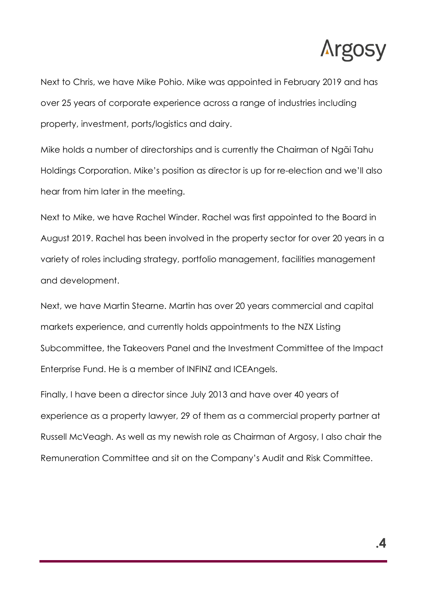

Next to Chris, we have Mike Pohio. Mike was appointed in February 2019 and has over 25 years of corporate experience across a range of industries including property, investment, ports/logistics and dairy.

Mike holds a number of directorships and is currently the Chairman of Ngāi Tahu Holdings Corporation. Mike's position as director is up for re-election and we'll also hear from him later in the meeting.

Next to Mike, we have Rachel Winder. Rachel was first appointed to the Board in August 2019. Rachel has been involved in the property sector for over 20 years in a variety of roles including strategy, portfolio management, facilities management and development.

Next, we have Martin Stearne. Martin has over 20 years commercial and capital markets experience, and currently holds appointments to the NZX Listing Subcommittee, the Takeovers Panel and the Investment Committee of the Impact Enterprise Fund. He is a member of INFINZ and ICEAngels.

Finally, I have been a director since July 2013 and have over 40 years of experience as a property lawyer, 29 of them as a commercial property partner at Russell McVeagh. As well as my newish role as Chairman of Argosy, I also chair the Remuneration Committee and sit on the Company's Audit and Risk Committee.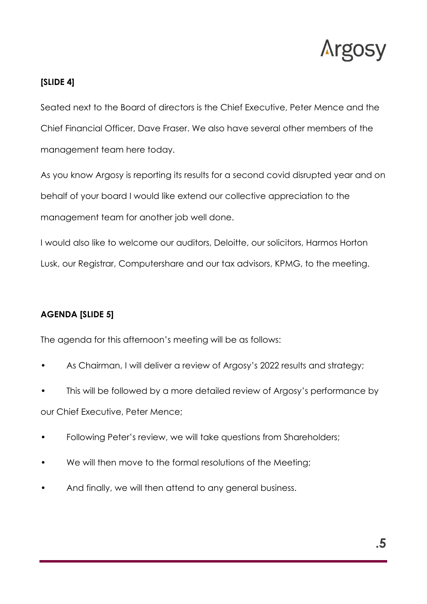

# **[SLIDE 4]**

Seated next to the Board of directors is the Chief Executive, Peter Mence and the Chief Financial Officer, Dave Fraser. We also have several other members of the management team here today.

As you know Argosy is reporting its results for a second covid disrupted year and on behalf of your board I would like extend our collective appreciation to the management team for another job well done.

I would also like to welcome our auditors, Deloitte, our solicitors, Harmos Horton Lusk, our Registrar, Computershare and our tax advisors, KPMG, to the meeting.

# **AGENDA [SLIDE 5]**

The agenda for this afternoon's meeting will be as follows:

- As Chairman, I will deliver a review of Argosy's 2022 results and strategy;
- This will be followed by a more detailed review of Argosy's performance by our Chief Executive, Peter Mence;
- Following Peter's review, we will take questions from Shareholders;
- We will then move to the formal resolutions of the Meeting;
- And finally, we will then attend to any general business.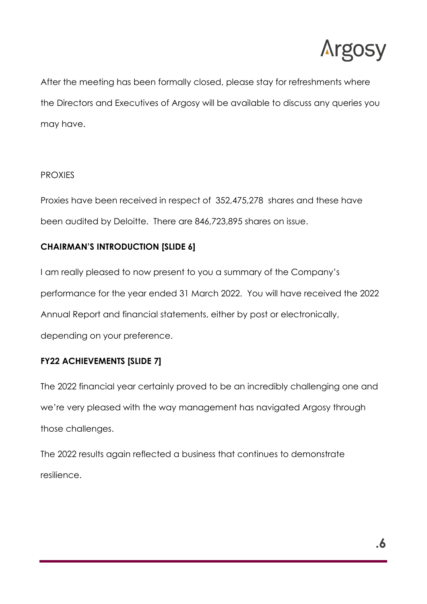

After the meeting has been formally closed, please stay for refreshments where the Directors and Executives of Argosy will be available to discuss any queries you may have.

## PROXIES

Proxies have been received in respect of 352,475,278 shares and these have been audited by Deloitte. There are 846,723,895 shares on issue.

# **CHAIRMAN'S INTRODUCTION [SLIDE 6]**

I am really pleased to now present to you a summary of the Company's performance for the year ended 31 March 2022. You will have received the 2022 Annual Report and financial statements, either by post or electronically, depending on your preference.

# **FY22 ACHIEVEMENTS [SLIDE 7]**

The 2022 financial year certainly proved to be an incredibly challenging one and we're very pleased with the way management has navigated Argosy through those challenges.

The 2022 results again reflected a business that continues to demonstrate resilience.

**.6**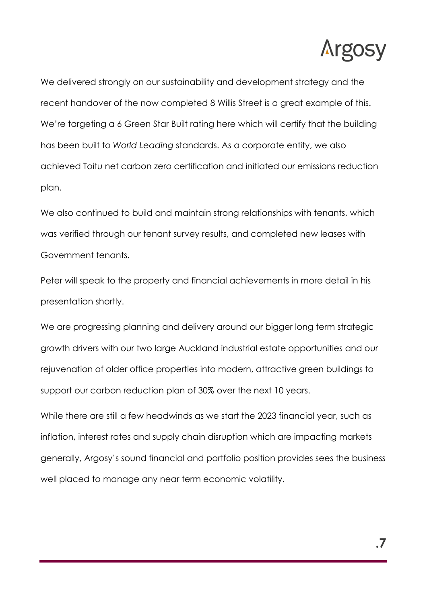

We delivered strongly on our sustainability and development strategy and the recent handover of the now completed 8 Willis Street is a great example of this. We're targeting a 6 Green Star Built rating here which will certify that the building has been built to *World Leading* standards. As a corporate entity, we also achieved Toitu net carbon zero certification and initiated our emissions reduction plan.

We also continued to build and maintain strong relationships with tenants, which was verified through our tenant survey results, and completed new leases with Government tenants.

Peter will speak to the property and financial achievements in more detail in his presentation shortly.

We are progressing planning and delivery around our bigger long term strategic growth drivers with our two large Auckland industrial estate opportunities and our rejuvenation of older office properties into modern, attractive green buildings to support our carbon reduction plan of 30% over the next 10 years.

While there are still a few headwinds as we start the 2023 financial year, such as inflation, interest rates and supply chain disruption which are impacting markets generally, Argosy's sound financial and portfolio position provides sees the business well placed to manage any near term economic volatility.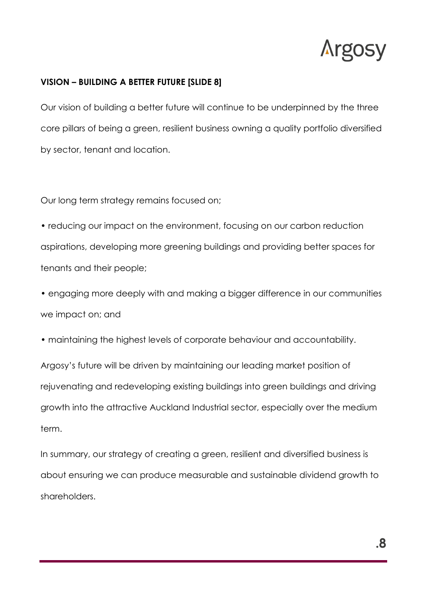

### **VISION – BUILDING A BETTER FUTURE [SLIDE 8]**

Our vision of building a better future will continue to be underpinned by the three core pillars of being a green, resilient business owning a quality portfolio diversified by sector, tenant and location.

Our long term strategy remains focused on;

• reducing our impact on the environment, focusing on our carbon reduction aspirations, developing more greening buildings and providing better spaces for tenants and their people;

• engaging more deeply with and making a bigger difference in our communities we impact on; and

• maintaining the highest levels of corporate behaviour and accountability.

Argosy's future will be driven by maintaining our leading market position of rejuvenating and redeveloping existing buildings into green buildings and driving growth into the attractive Auckland Industrial sector, especially over the medium term.

In summary, our strategy of creating a green, resilient and diversified business is about ensuring we can produce measurable and sustainable dividend growth to shareholders.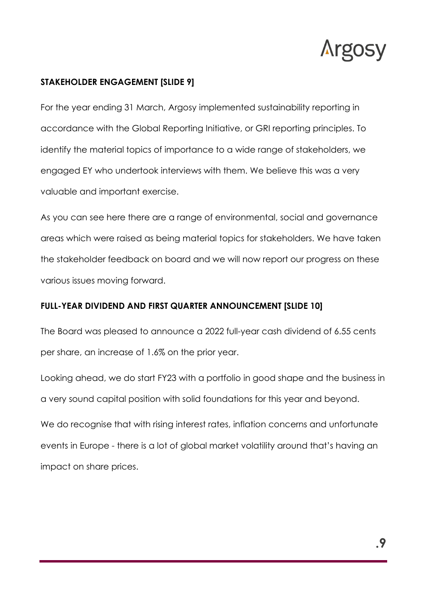

### **STAKEHOLDER ENGAGEMENT [SLIDE 9]**

For the year ending 31 March, Argosy implemented sustainability reporting in accordance with the Global Reporting Initiative, or GRI reporting principles. To identify the material topics of importance to a wide range of stakeholders, we engaged EY who undertook interviews with them. We believe this was a very valuable and important exercise.

As you can see here there are a range of environmental, social and governance areas which were raised as being material topics for stakeholders. We have taken the stakeholder feedback on board and we will now report our progress on these various issues moving forward.

### **FULL-YEAR DIVIDEND AND FIRST QUARTER ANNOUNCEMENT [SLIDE 10]**

The Board was pleased to announce a 2022 full-year cash dividend of 6.55 cents per share, an increase of 1.6% on the prior year.

Looking ahead, we do start FY23 with a portfolio in good shape and the business in a very sound capital position with solid foundations for this year and beyond.

We do recognise that with rising interest rates, inflation concerns and unfortunate events in Europe - there is a lot of global market volatility around that's having an impact on share prices.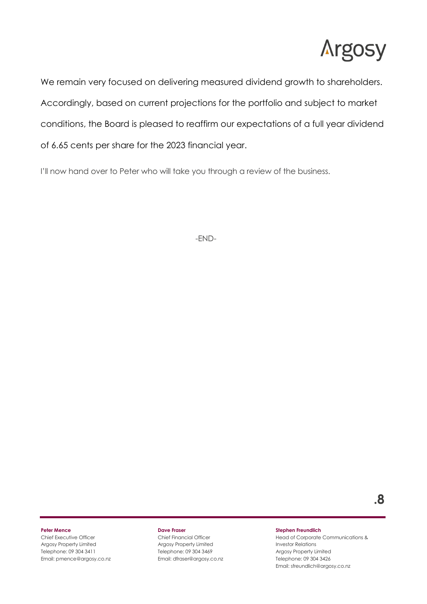

We remain very focused on delivering measured dividend growth to shareholders. Accordingly, based on current projections for the portfolio and subject to market conditions, the Board is pleased to reaffirm our expectations of a full year dividend of 6.65 cents per share for the 2023 financial year.

I'll now hand over to Peter who will take you through a review of the business.

-END-

#### **Peter Mence**

Chief Executive Officer Argosy Property Limited Telephone: 09 304 3411 Email: pmence@argosy.co.nz

#### **Dave Fraser**

Chief Financial Officer Argosy Property Limited Telephone: 09 304 3469 Email: dfraser@argosy.co.nz

#### **Stephen Freundlich**

Head of Corporate Communications & Investor Relations Argosy Property Limited Telephone: 09 304 3426 Email: sfreundlich@argosy.co.nz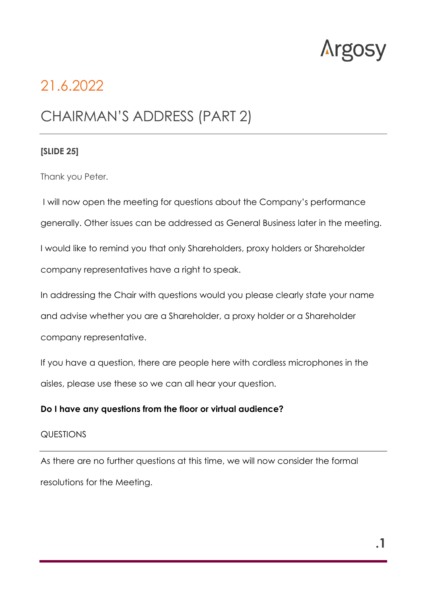

# 21.6.2022

# CHAIRMAN'S ADDRESS (PART 2)

#### **[SLIDE 25]**

Thank you Peter.

I will now open the meeting for questions about the Company's performance generally. Other issues can be addressed as General Business later in the meeting.

I would like to remind you that only Shareholders, proxy holders or Shareholder company representatives have a right to speak.

In addressing the Chair with questions would you please clearly state your name and advise whether you are a Shareholder, a proxy holder or a Shareholder company representative.

If you have a question, there are people here with cordless microphones in the aisles, please use these so we can all hear your question.

#### **Do I have any questions from the floor or virtual audience?**

#### QUESTIONS

As there are no further questions at this time, we will now consider the formal resolutions for the Meeting.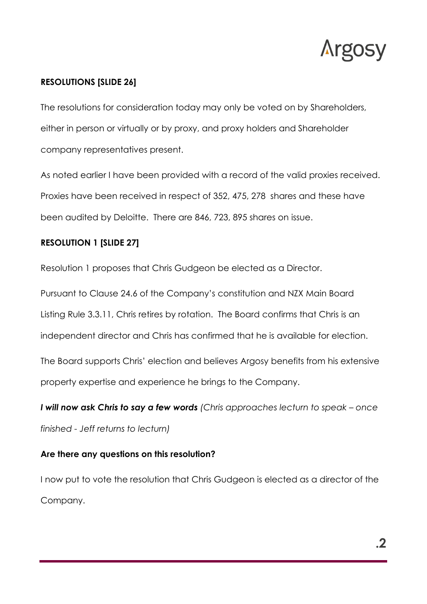

# **RESOLUTIONS [SLIDE 26]**

The resolutions for consideration today may only be voted on by Shareholders, either in person or virtually or by proxy, and proxy holders and Shareholder company representatives present.

As noted earlier I have been provided with a record of the valid proxies received. Proxies have been received in respect of 352, 475, 278 shares and these have been audited by Deloitte. There are 846, 723, 895 shares on issue.

# **RESOLUTION 1 [SLIDE 27]**

Resolution 1 proposes that Chris Gudgeon be elected as a Director.

Pursuant to Clause 24.6 of the Company's constitution and NZX Main Board Listing Rule 3.3.11, Chris retires by rotation. The Board confirms that Chris is an independent director and Chris has confirmed that he is available for election.

The Board supports Chris' election and believes Argosy benefits from his extensive property expertise and experience he brings to the Company.

*I will now ask Chris to say a few words (Chris approaches lecturn to speak – once finished - Jeff returns to lecturn)* 

# **Are there any questions on this resolution?**

I now put to vote the resolution that Chris Gudgeon is elected as a director of the Company.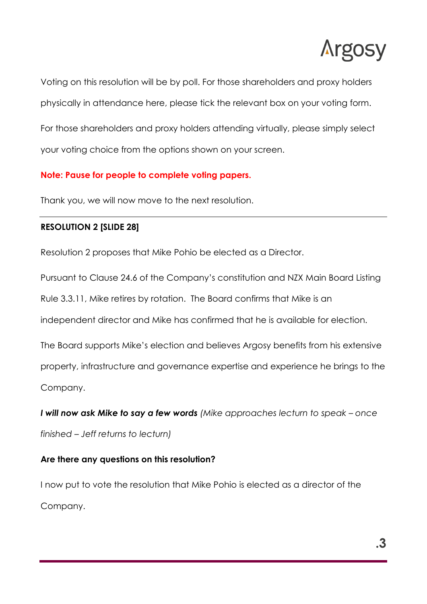

Voting on this resolution will be by poll. For those shareholders and proxy holders physically in attendance here, please tick the relevant box on your voting form.

For those shareholders and proxy holders attending virtually, please simply select your voting choice from the options shown on your screen.

# **Note: Pause for people to complete voting papers.**

Thank you, we will now move to the next resolution.

# **RESOLUTION 2 [SLIDE 28]**

Resolution 2 proposes that Mike Pohio be elected as a Director.

Pursuant to Clause 24.6 of the Company's constitution and NZX Main Board Listing

Rule 3.3.11, Mike retires by rotation. The Board confirms that Mike is an

independent director and Mike has confirmed that he is available for election.

The Board supports Mike's election and believes Argosy benefits from his extensive

property, infrastructure and governance expertise and experience he brings to the

Company.

*I will now ask Mike to say a few words (Mike approaches lecturn to speak – once finished – Jeff returns to lecturn)*

# **Are there any questions on this resolution?**

I now put to vote the resolution that Mike Pohio is elected as a director of the Company.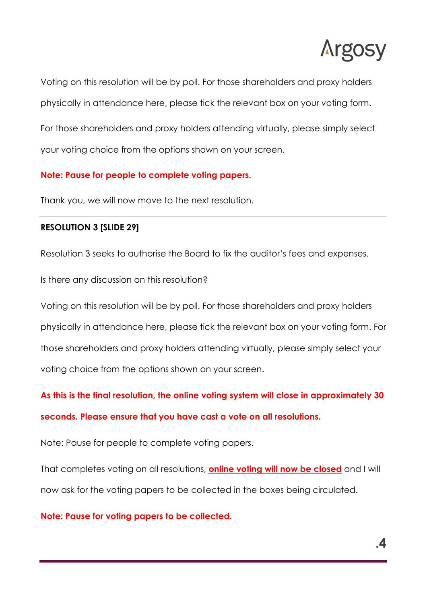

Voting on this resolution will be by poll. For those shareholders and proxy holders physically in attendance here, please tick the relevant box on your voting form.

For those shareholders and proxy holders attending virtually, please simply select your voting choice from the options shown on your screen.

## **Note: Pause for people to complete voting papers.**

Thank you, we will now move to the next resolution.

#### **RESOLUTION 3 [SLIDE 29]**

Resolution 3 seeks to authorise the Board to fix the auditor's fees and expenses.

Is there any discussion on this resolution?

Voting on this resolution will be by poll. For those shareholders and proxy holders physically in attendance here, please tick the relevant box on your voting form. For those shareholders and proxy holders attending virtually, please simply select your voting choice from the options shown on your screen.

**As this is the final resolution, the online voting system will close in approximately 30 seconds. Please ensure that you have cast a vote on all resolutions.**

Note: Pause for people to complete voting papers.

That completes voting on all resolutions, **online voting will now be closed** and I will now ask for the voting papers to be collected in the boxes being circulated.

#### **Note: Pause for voting papers to be collected.**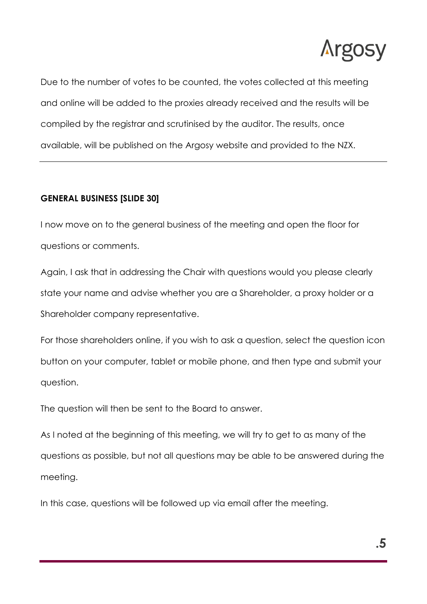

Due to the number of votes to be counted, the votes collected at this meeting and online will be added to the proxies already received and the results will be compiled by the registrar and scrutinised by the auditor. The results, once available, will be published on the Argosy website and provided to the NZX.

# **GENERAL BUSINESS [SLIDE 30]**

I now move on to the general business of the meeting and open the floor for questions or comments.

Again, I ask that in addressing the Chair with questions would you please clearly state your name and advise whether you are a Shareholder, a proxy holder or a Shareholder company representative.

For those shareholders online, if you wish to ask a question, select the question icon button on your computer, tablet or mobile phone, and then type and submit your question.

The question will then be sent to the Board to answer.

As I noted at the beginning of this meeting, we will try to get to as many of the questions as possible, but not all questions may be able to be answered during the meeting.

In this case, questions will be followed up via email after the meeting.